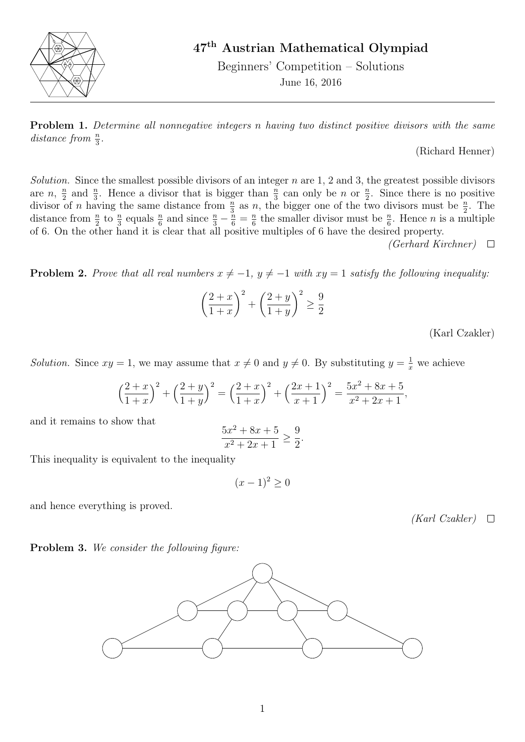

## 47th Austrian Mathematical Olympiad

Beginners' Competition – Solutions June 16, 2016

**Problem 1.** Determine all nonnegative integers n having two distinct positive divisors with the same distance from  $\frac{n}{3}$ .

(Richard Henner)

Solution. Since the smallest possible divisors of an integer  $n$  are 1, 2 and 3, the greatest possible divisors are  $n, \frac{n}{2}$  $\frac{n}{2}$  and  $\frac{n}{3}$ . Hence a divisor that is bigger than  $\frac{n}{3}$  can only be n or  $\frac{n}{2}$ . Since there is no positive divisor of n having the same distance from  $\frac{n}{3}$  as n, the bigger one of the two divisors must be  $\frac{n}{2}$ . The distance from  $\frac{n}{2}$  to  $\frac{n}{3}$  equals  $\frac{n}{6}$  and since  $\frac{n}{3} - \frac{n}{6} = \frac{n}{6}$  $\frac{n}{6}$  the smaller divisor must be  $\frac{n}{6}$ . Hence *n* is a multiple of 6. On the other hand it is clear that all positive multiples of 6 have the desired property.

(Gerhard Kirchner)  $\Box$ 

**Problem 2.** Prove that all real numbers  $x \neq -1$ ,  $y \neq -1$  with  $xy = 1$  satisfy the following inequality:

$$
\left(\frac{2+x}{1+x}\right)^2 + \left(\frac{2+y}{1+y}\right)^2 \ge \frac{9}{2}
$$

(Karl Czakler)

Solution. Since  $xy = 1$ , we may assume that  $x \neq 0$  and  $y \neq 0$ . By substituting  $y = \frac{1}{x}$  we achieve

$$
\left(\frac{2+x}{1+x}\right)^2 + \left(\frac{2+y}{1+y}\right)^2 = \left(\frac{2+x}{1+x}\right)^2 + \left(\frac{2x+1}{x+1}\right)^2 = \frac{5x^2 + 8x + 5}{x^2 + 2x + 1},
$$

and it remains to show that

$$
\frac{5x^2 + 8x + 5}{x^2 + 2x + 1} \ge \frac{9}{2}.
$$

This inequality is equivalent to the inequality

$$
(x-1)^2 \ge 0
$$

and hence everything is proved.

 $(Karl Czakler) \quad \Box$ 

Problem 3. We consider the following figure:

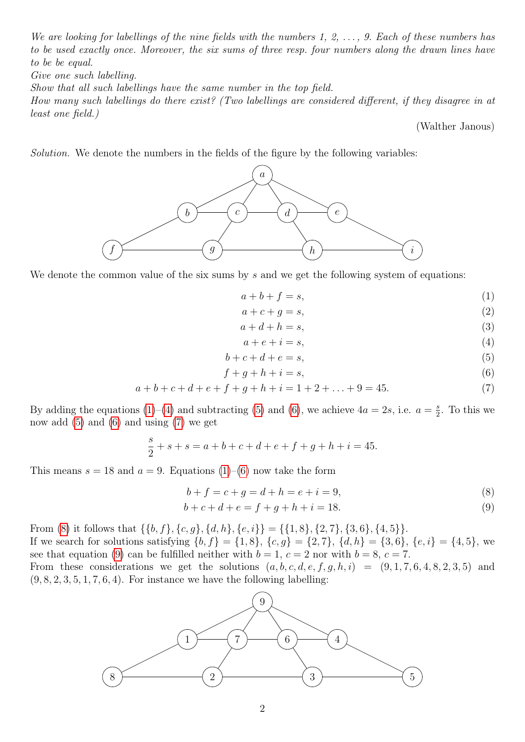We are looking for labellings of the nine fields with the numbers 1, 2,  $\ldots$ , 9. Each of these numbers has to be used exactly once. Moreover, the six sums of three resp. four numbers along the drawn lines have to be be equal.

Give one such labelling.

Show that all such labellings have the same number in the top field.

How many such labellings do there exist? (Two labellings are considered different, if they disagree in at least one field.)

<span id="page-1-2"></span><span id="page-1-1"></span><span id="page-1-0"></span>(Walther Janous)

Solution. We denote the numbers in the fields of the figure by the following variables:



We denote the common value of the six sums by  $s$  and we get the following system of equations:

$$
a+b+f=s,\tag{1}
$$

$$
a + c + g = s,\tag{2}
$$

$$
a + d + h = s,\tag{3}
$$

<span id="page-1-6"></span><span id="page-1-5"></span><span id="page-1-4"></span><span id="page-1-3"></span>
$$
a + e + i = s,\tag{4}
$$

$$
b + c + d + e = s,\tag{5}
$$

$$
f + g + h + i = s,\tag{6}
$$

$$
a+b+c+d+e+f+g+h+i = 1+2+\ldots+9 = 45. \tag{7}
$$

By adding the equations [\(1\)](#page-1-0)–[\(4\)](#page-1-1) and subtracting [\(5\)](#page-1-2) and [\(6\)](#page-1-3), we achieve  $4a = 2s$ , i.e.  $a = \frac{s}{2}$  $\frac{s}{2}$ . To this we now add  $(5)$  and  $(6)$  and using  $(7)$  we get

$$
\frac{s}{2} + s + s = a + b + c + d + e + f + g + h + i = 45.
$$

This means  $s = 18$  and  $a = 9$ . Equations [\(1\)](#page-1-0)–[\(6\)](#page-1-3) now take the form

$$
b + f = c + g = d + h = e + i = 9,
$$
\n(8)

$$
b + c + d + e = f + g + h + i = 18.
$$
\n(9)

From [\(8\)](#page-1-5) it follows that  $\{\{b, f\}, \{c, g\}, \{d, h\}, \{e, i\}\} = \{\{1, 8\}, \{2, 7\}, \{3, 6\}, \{4, 5\}\}.$ 

If we search for solutions satisfying  $\{b, f\} = \{1, 8\}, \{c, g\} = \{2, 7\}, \{d, h\} = \{3, 6\}, \{e, i\} = \{4, 5\},$  we see that equation [\(9\)](#page-1-6) can be fulfilled neither with  $b = 1, c = 2$  nor with  $b = 8, c = 7$ .

From these considerations we get the solutions  $(a, b, c, d, e, f, g, h, i) = (9, 1, 7, 6, 4, 8, 2, 3, 5)$  and  $(9, 8, 2, 3, 5, 1, 7, 6, 4)$ . For instance we have the following labelling: